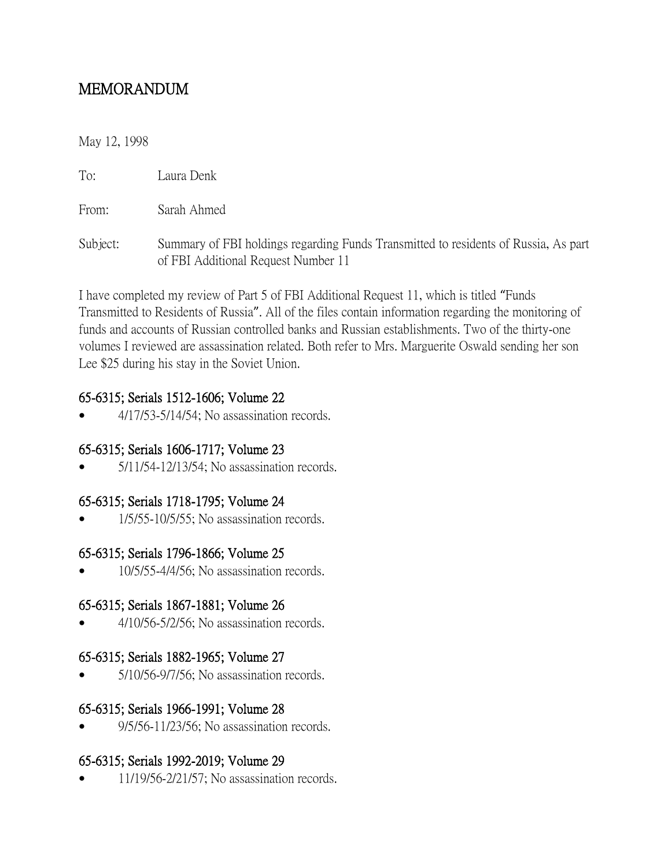# MEMORANDUM

#### May 12, 1998

To: Laura Denk

From: Sarah Ahmed

Subject: Summary of FBI holdings regarding Funds Transmitted to residents of Russia, As part of FBI Additional Request Number 11

I have completed my review of Part 5 of FBI Additional Request 11, which is titled "Funds Transmitted to Residents of Russia". All of the files contain information regarding the monitoring of funds and accounts of Russian controlled banks and Russian establishments. Two of the thirty-one volumes I reviewed are assassination related. Both refer to Mrs. Marguerite Oswald sending her son Lee \$25 during his stay in the Soviet Union.

## 65-6315; Serials 1512-1606; Volume 22

4/17/53-5/14/54; No assassination records.

## 65-6315; Serials 1606-1717; Volume 23

5/11/54-12/13/54; No assassination records.

## 65-6315; Serials 1718-1795; Volume 24

1/5/55-10/5/55; No assassination records.

## 65-6315; Serials 1796-1866; Volume 25

10/5/55-4/4/56; No assassination records.

## 65-6315; Serials 1867-1881; Volume 26

4/10/56-5/2/56; No assassination records.

## 65-6315; Serials 1882-1965; Volume 27

5/10/56-9/7/56; No assassination records.

## 65-6315; Serials 1966-1991; Volume 28

9/5/56-11/23/56; No assassination records.

## 65-6315; Serials 1992-2019; Volume 29

11/19/56-2/21/57; No assassination records.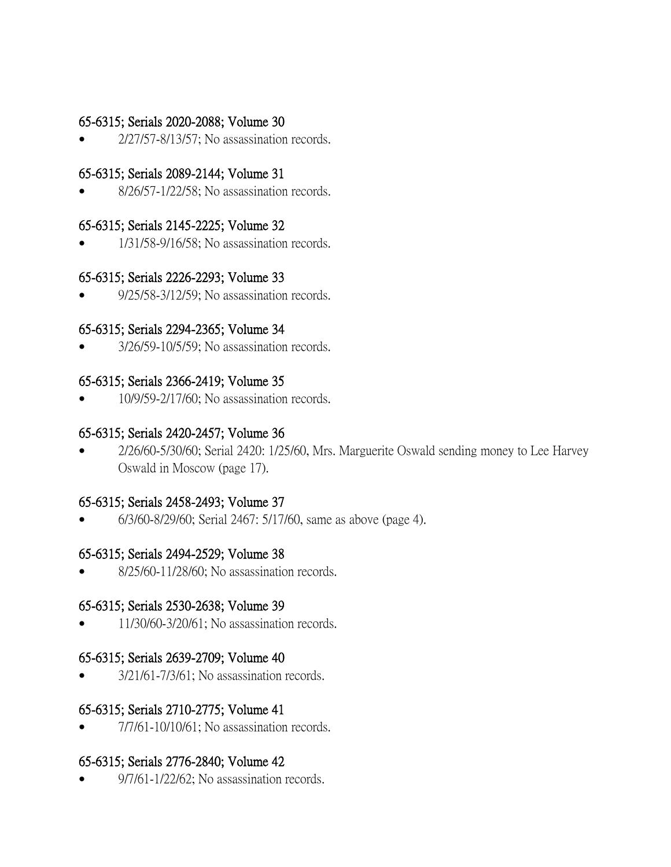#### 65-6315; Serials 2020-2088; Volume 30

2/27/57-8/13/57; No assassination records.

## 65-6315; Serials 2089-2144; Volume 31

8/26/57-1/22/58; No assassination records.

#### 65-6315; Serials 2145-2225; Volume 32

1/31/58-9/16/58; No assassination records.

#### 65-6315; Serials 2226-2293; Volume 33

9/25/58-3/12/59; No assassination records.

## 65-6315; Serials 2294-2365; Volume 34

3/26/59-10/5/59; No assassination records.

## 65-6315; Serials 2366-2419; Volume 35

10/9/59-2/17/60; No assassination records.

## 65-6315; Serials 2420-2457; Volume 36

 2/26/60-5/30/60; Serial 2420: 1/25/60, Mrs. Marguerite Oswald sending money to Lee Harvey Oswald in Moscow (page 17).

## 65-6315; Serials 2458-2493; Volume 37

6/3/60-8/29/60; Serial 2467: 5/17/60, same as above (page 4).

#### 65-6315; Serials 2494-2529; Volume 38

8/25/60-11/28/60; No assassination records.

## 65-6315; Serials 2530-2638; Volume 39

11/30/60-3/20/61; No assassination records.

## 65-6315; Serials 2639-2709; Volume 40

3/21/61-7/3/61; No assassination records.

## 65-6315; Serials 2710-2775; Volume 41

7/7/61-10/10/61; No assassination records.

#### 65-6315; Serials 2776-2840; Volume 42

9/7/61-1/22/62; No assassination records.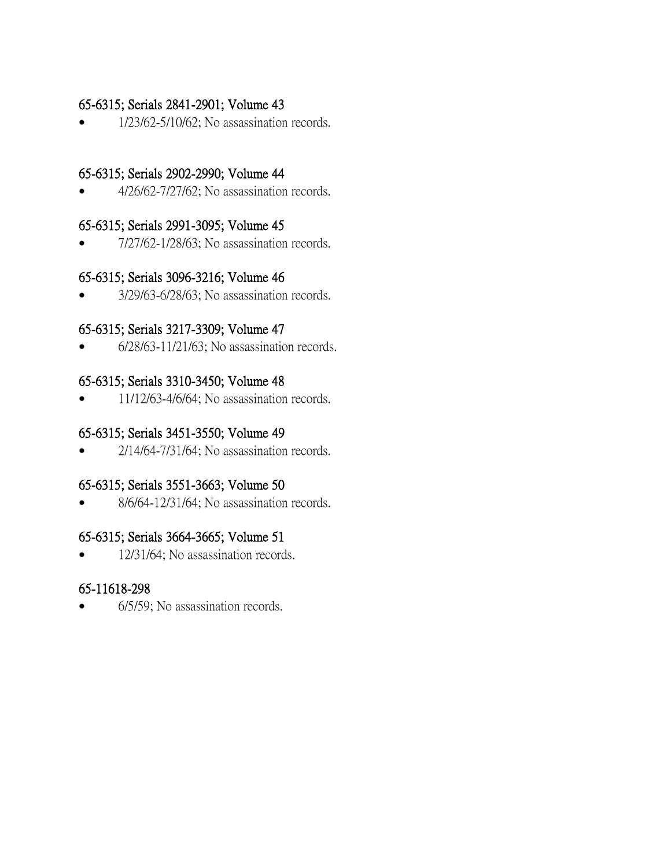## 65-6315; Serials 2841-2901; Volume 43

1/23/62-5/10/62; No assassination records.

## 65-6315; Serials 2902-2990; Volume 44

4/26/62-7/27/62; No assassination records.

#### 65-6315; Serials 2991-3095; Volume 45

7/27/62-1/28/63; No assassination records.

## 65-6315; Serials 3096-3216; Volume 46

3/29/63-6/28/63; No assassination records.

## 65-6315; Serials 3217-3309; Volume 47

6/28/63-11/21/63; No assassination records.

## 65-6315; Serials 3310-3450; Volume 48

11/12/63-4/6/64; No assassination records.

### 65-6315; Serials 3451-3550; Volume 49

2/14/64-7/31/64; No assassination records.

## 65-6315; Serials 3551-3663; Volume 50

8/6/64-12/31/64; No assassination records.

## 65-6315; Serials 3664-3665; Volume 51

12/31/64; No assassination records.

## 65-11618-298

6/5/59; No assassination records.